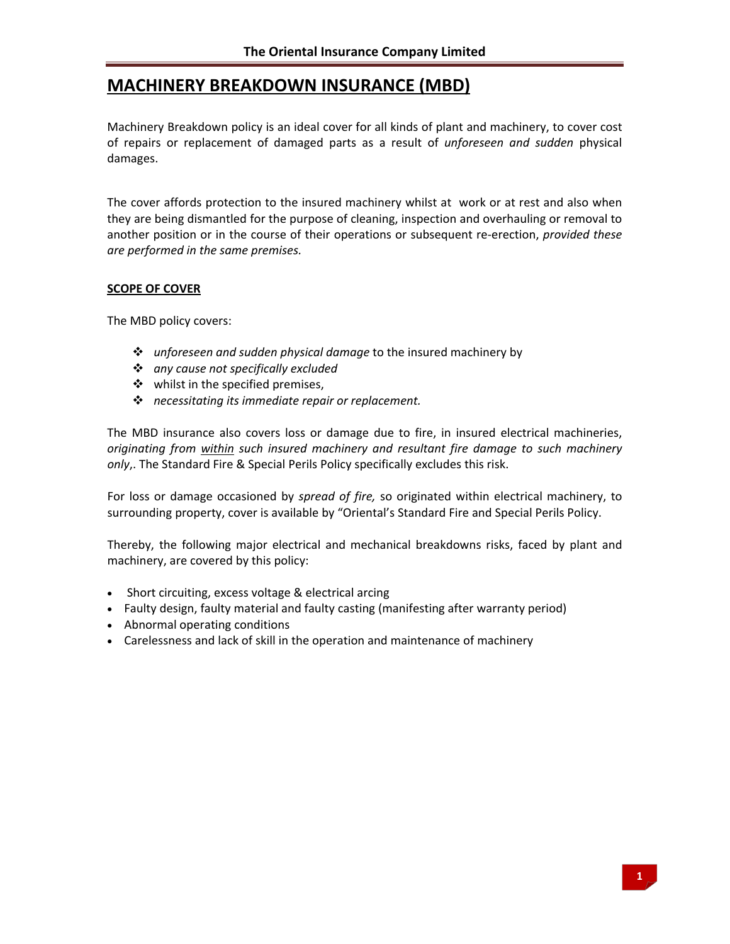# **MACHINERY BREAKDOWN INSURANCE (MBD)**

Machinery Breakdown policy is an ideal cover for all kinds of plant and machinery, to cover cost of repairs or replacement of damaged parts as a result of *unforeseen and sudden* physical damages.

The cover affords protection to the insured machinery whilst at work or at rest and also when they are being dismantled for the purpose of cleaning, inspection and overhauling or removal to another position or in the course of their operations or subsequent re‐erection, *provided these are performed in the same premises.*

# **SCOPE OF COVER**

The MBD policy covers:

- *unforeseen and sudden physical damage* to the insured machinery by
- *any cause not specifically excluded*
- ❖ whilst in the specified premises,
- *necessitating its immediate repair or replacement.*

The MBD insurance also covers loss or damage due to fire, in insured electrical machineries, *originating from within such insured machinery and resultant fire damage to such machinery only*,. The Standard Fire & Special Perils Policy specifically excludes this risk.

For loss or damage occasioned by *spread of fire,* so originated within electrical machinery, to surrounding property, cover is available by "Oriental's Standard Fire and Special Perils Policy.

Thereby, the following major electrical and mechanical breakdowns risks, faced by plant and machinery, are covered by this policy:

- Short circuiting, excess voltage & electrical arcing
- Faulty design, faulty material and faulty casting (manifesting after warranty period)
- Abnormal operating conditions
- Carelessness and lack of skill in the operation and maintenance of machinery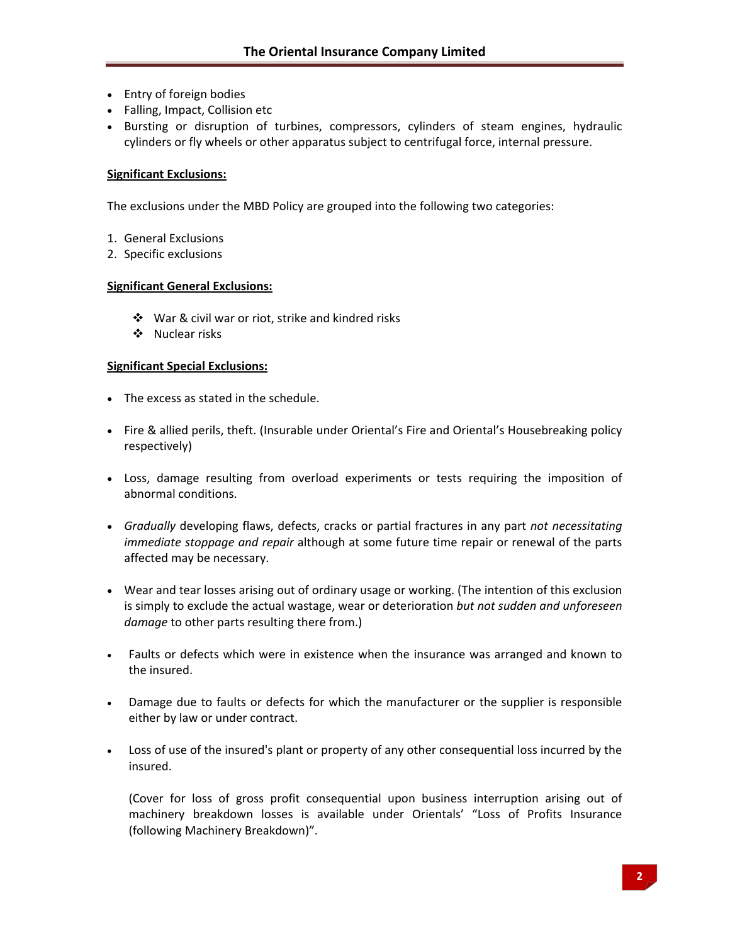- Entry of foreign bodies
- Falling, Impact, Collision etc
- Bursting or disruption of turbines, compressors, cylinders of steam engines, hydraulic cylinders or fly wheels or other apparatus subject to centrifugal force, internal pressure.

# **Significant Exclusions:**

The exclusions under the MBD Policy are grouped into the following two categories:

- 1. General Exclusions
- 2. Specific exclusions

# **Significant General Exclusions:**

- War & civil war or riot, strike and kindred risks
- ❖ Nuclear risks

# **Significant Special Exclusions:**

- The excess as stated in the schedule.
- Fire & allied perils, theft. (Insurable under Oriental's Fire and Oriental's Housebreaking policy respectively)
- Loss, damage resulting from overload experiments or tests requiring the imposition of abnormal conditions.
- *Gradually* developing flaws, defects, cracks or partial fractures in any part *not necessitating immediate stoppage and repair* although at some future time repair or renewal of the parts affected may be necessary.
- Wear and tear losses arising out of ordinary usage or working. (The intention of this exclusion is simply to exclude the actual wastage, wear or deterioration *but not sudden and unforeseen damage* to other parts resulting there from.)
- Faults or defects which were in existence when the insurance was arranged and known to the insured.
- Damage due to faults or defects for which the manufacturer or the supplier is responsible either by law or under contract.
- Loss of use of the insured's plant or property of any other consequential loss incurred by the insured.

(Cover for loss of gross profit consequential upon business interruption arising out of machinery breakdown losses is available under Orientals' "Loss of Profits Insurance (following Machinery Breakdown)".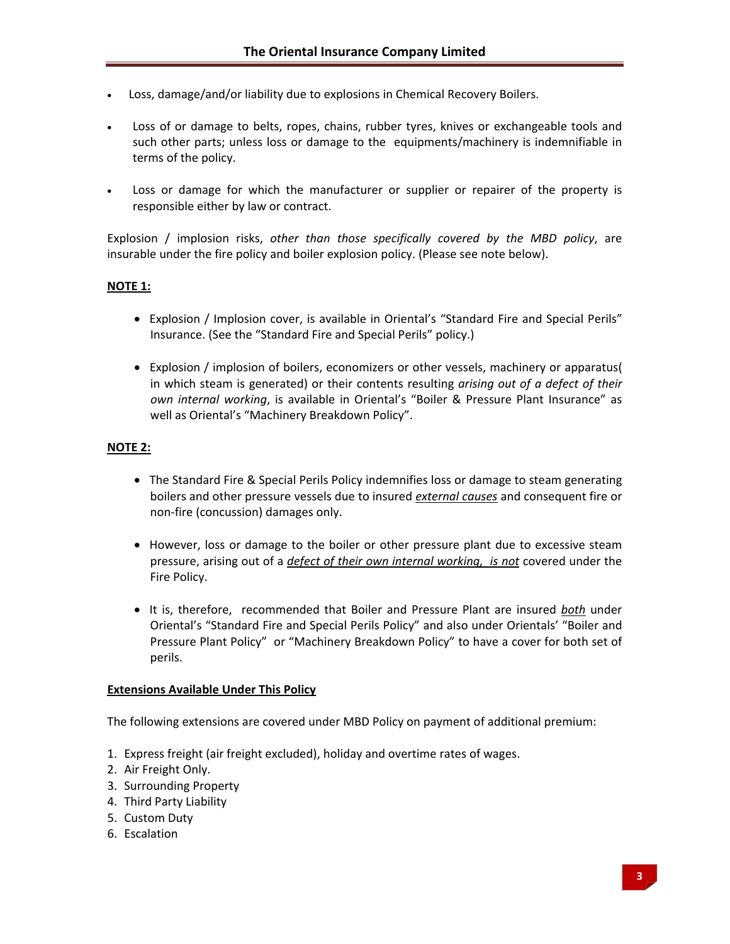- Loss, damage/and/or liability due to explosions in Chemical Recovery Boilers.
- Loss of or damage to belts, ropes, chains, rubber tyres, knives or exchangeable tools and such other parts; unless loss or damage to the equipments/machinery is indemnifiable in terms of the policy.
- Loss or damage for which the manufacturer or supplier or repairer of the property is responsible either by law or contract.

Explosion / implosion risks, *other than those specifically covered by the MBD policy*, are insurable under the fire policy and boiler explosion policy. (Please see note below).

# **NOTE 1:**

- Explosion / Implosion cover, is available in Oriental's "Standard Fire and Special Perils" Insurance. (See the "Standard Fire and Special Perils" policy.)
- Explosion / implosion of boilers, economizers or other vessels, machinery or apparatus( in which steam is generated) or their contents resulting *arising out of a defect of their own internal working*, is available in Oriental's "Boiler & Pressure Plant Insurance" as well as Oriental's "Machinery Breakdown Policy".

# **NOTE 2:**

- The Standard Fire & Special Perils Policy indemnifies loss or damage to steam generating boilers and other pressure vessels due to insured *external causes* and consequent fire or non‐fire (concussion) damages only.
- However, loss or damage to the boiler or other pressure plant due to excessive steam pressure, arising out of a *defect of their own internal working, is not* covered under the Fire Policy.
- It is, therefore, recommended that Boiler and Pressure Plant are insured *both* under Oriental's "Standard Fire and Special Perils Policy" and also under Orientals' "Boiler and Pressure Plant Policy" or "Machinery Breakdown Policy" to have a cover for both set of perils.

# **Extensions Available Under This Policy**

The following extensions are covered under MBD Policy on payment of additional premium:

- 1. Express freight (air freight excluded), holiday and overtime rates of wages.
- 2. Air Freight Only.
- 3. Surrounding Property
- 4. Third Party Liability
- 5. Custom Duty
- 6. Escalation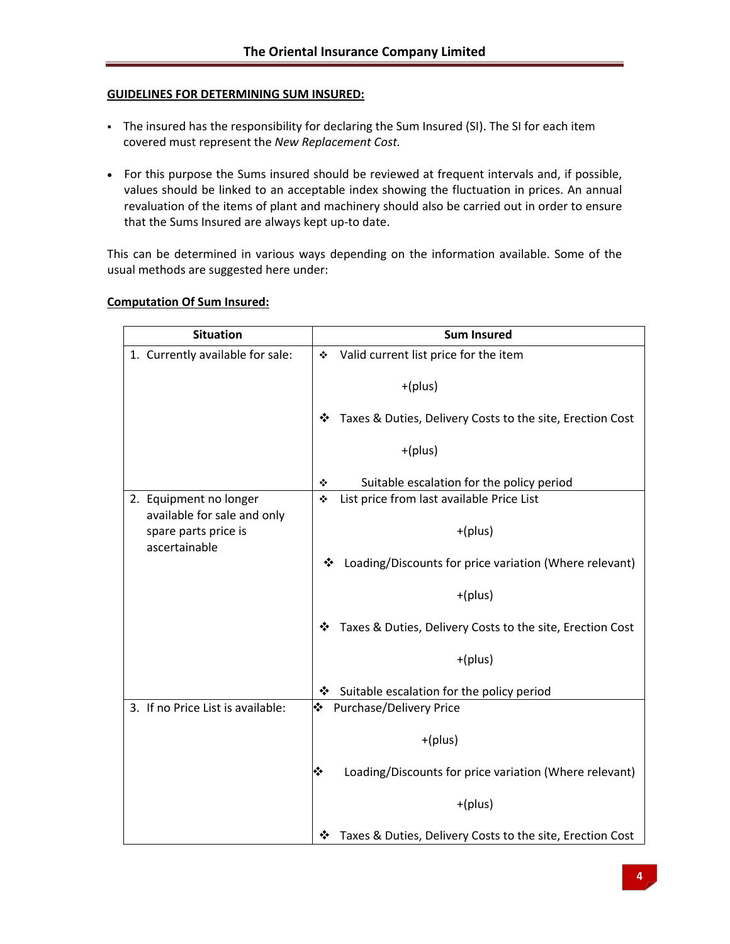# **GUIDELINES FOR DETERMINING SUM INSURED:**

- The insured has the responsibility for declaring the Sum Insured (SI). The SI for each item covered must represent the *New Replacement Cost.*
- For this purpose the Sums insured should be reviewed at frequent intervals and, if possible, values should be linked to an acceptable index showing the fluctuation in prices. An annual revaluation of the items of plant and machinery should also be carried out in order to ensure that the Sums Insured are always kept up-to date.

This can be determined in various ways depending on the information available. Some of the usual methods are suggested here under:

| <b>Situation</b>                                                                               | <b>Sum Insured</b>                                             |
|------------------------------------------------------------------------------------------------|----------------------------------------------------------------|
| 1. Currently available for sale:                                                               | Valid current list price for the item<br>❖                     |
|                                                                                                | $+(plus)$                                                      |
|                                                                                                | Taxes & Duties, Delivery Costs to the site, Erection Cost<br>❖ |
|                                                                                                | $+(plus)$                                                      |
|                                                                                                | Suitable escalation for the policy period<br>❖                 |
| 2. Equipment no longer<br>available for sale and only<br>spare parts price is<br>ascertainable | List price from last available Price List<br>❖                 |
|                                                                                                | $+(plus)$                                                      |
|                                                                                                | Loading/Discounts for price variation (Where relevant)<br>❖    |
|                                                                                                | $+(plus)$                                                      |
|                                                                                                | Taxes & Duties, Delivery Costs to the site, Erection Cost<br>❖ |
|                                                                                                | $+(plus)$                                                      |
|                                                                                                | Suitable escalation for the policy period<br>❖                 |
| 3. If no Price List is available:                                                              | Purchase/Delivery Price<br>❖                                   |
|                                                                                                | $+(plus)$                                                      |
|                                                                                                | ❖<br>Loading/Discounts for price variation (Where relevant)    |
|                                                                                                | $+(plus)$                                                      |
|                                                                                                | Taxes & Duties, Delivery Costs to the site, Erection Cost<br>❖ |

# **Computation Of Sum Insured:**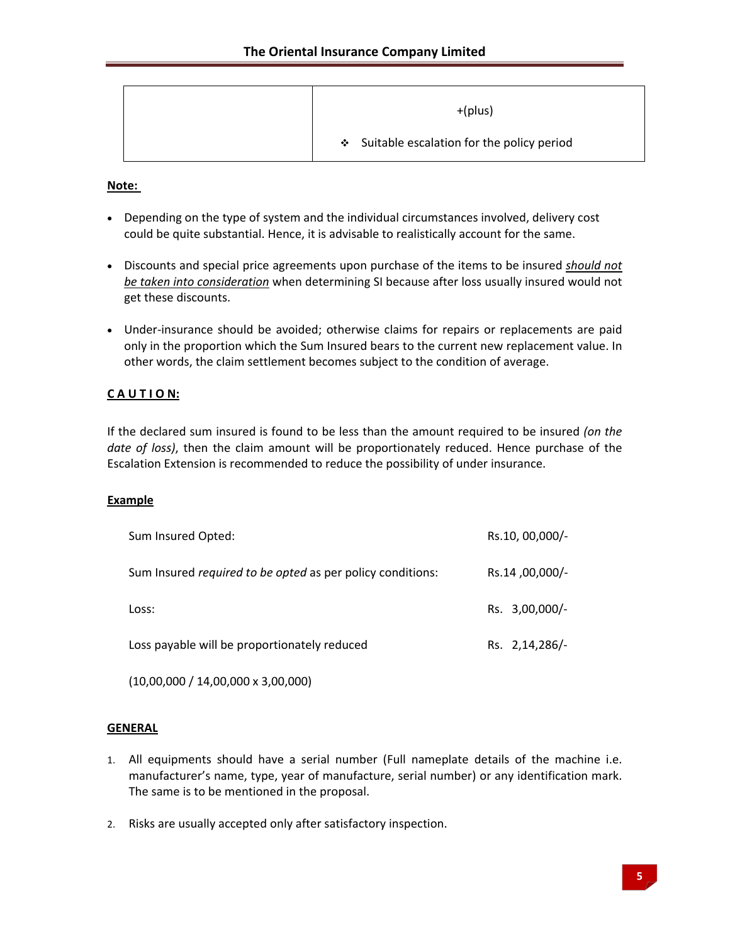| $+(plus)$                                   |
|---------------------------------------------|
| ❖ Suitable escalation for the policy period |

### **Note:**

- Depending on the type of system and the individual circumstances involved, delivery cost could be quite substantial. Hence, it is advisable to realistically account for the same.
- Discounts and special price agreements upon purchase of the items to be insured *should not be taken into consideration* when determining SI because after loss usually insured would not get these discounts.
- Under-insurance should be avoided; otherwise claims for repairs or replacements are paid only in the proportion which the Sum Insured bears to the current new replacement value. In other words, the claim settlement becomes subject to the condition of average.

# **C A U T I O N:**

If the declared sum insured is found to be less than the amount required to be insured *(on the date of loss)*, then the claim amount will be proportionately reduced. Hence purchase of the Escalation Extension is recommended to reduce the possibility of under insurance.

### **Example**

| Sum Insured Opted:                                                | Rs.10, 00,000/- |
|-------------------------------------------------------------------|-----------------|
| Sum Insured <i>required to be opted</i> as per policy conditions: | Rs.14,00,000/-  |
| Loss:                                                             | Rs. 3,00,000/-  |
| Loss payable will be proportionately reduced                      | Rs. 2,14,286/-  |

(10,00,000 / 14,00,000 x 3,00,000)

### **GENERAL**

- 1. All equipments should have a serial number (Full nameplate details of the machine i.e. manufacturer's name, type, year of manufacture, serial number) or any identification mark. The same is to be mentioned in the proposal.
- 2. Risks are usually accepted only after satisfactory inspection.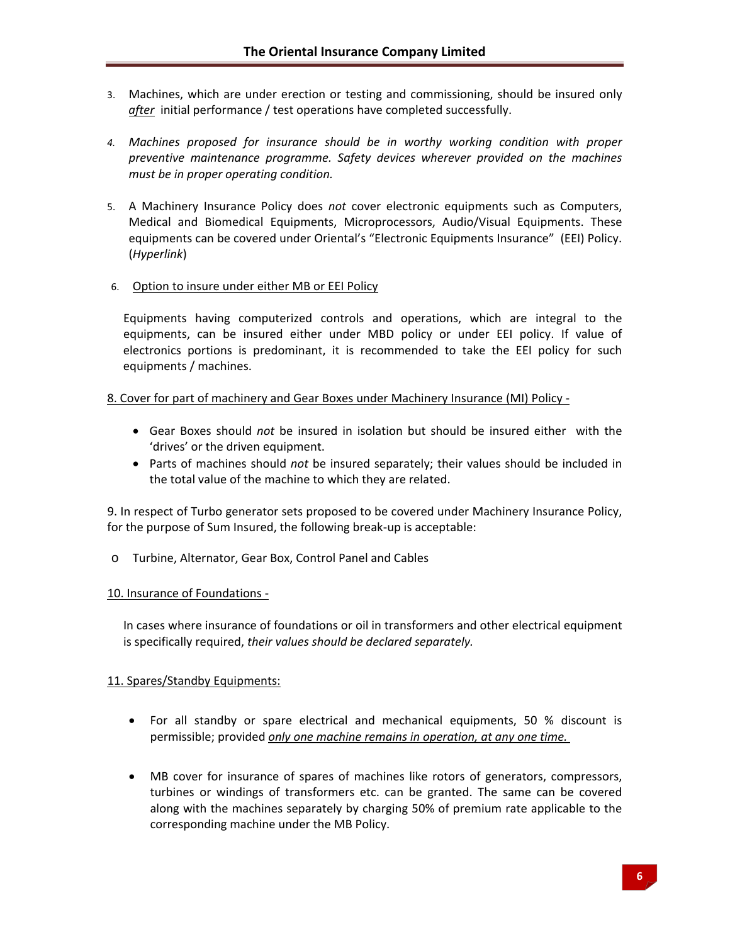- 3. Machines, which are under erection or testing and commissioning, should be insured only *after* initial performance / test operations have completed successfully.
- *4. Machines proposed for insurance should be in worthy working condition with proper preventive maintenance programme. Safety devices wherever provided on the machines must be in proper operating condition.*
- 5. A Machinery Insurance Policy does *not* cover electronic equipments such as Computers, Medical and Biomedical Equipments, Microprocessors, Audio/Visual Equipments. These equipments can be covered under Oriental's "Electronic Equipments Insurance" (EEI) Policy. (*Hyperlink*)

# 6. Option to insure under either MB or EEI Policy

Equipments having computerized controls and operations, which are integral to the equipments, can be insured either under MBD policy or under EEI policy. If value of electronics portions is predominant, it is recommended to take the EEI policy for such equipments / machines.

### 8. Cover for part of machinery and Gear Boxes under Machinery Insurance (MI) Policy -

- Gear Boxes should *not* be insured in isolation but should be insured either with the 'drives' or the driven equipment.
- Parts of machines should *not* be insured separately; their values should be included in the total value of the machine to which they are related.

9. In respect of Turbo generator sets proposed to be covered under Machinery Insurance Policy, for the purpose of Sum Insured, the following break‐up is acceptable:

o Turbine, Alternator, Gear Box, Control Panel and Cables

### 10. Insurance of Foundations ‐

In cases where insurance of foundations or oil in transformers and other electrical equipment is specifically required, *their values should be declared separately.*

# 11. Spares/Standby Equipments:

- For all standby or spare electrical and mechanical equipments, 50 % discount is permissible; provided *only one machine remains in operation, at any one time.*
- MB cover for insurance of spares of machines like rotors of generators, compressors, turbines or windings of transformers etc. can be granted. The same can be covered along with the machines separately by charging 50% of premium rate applicable to the corresponding machine under the MB Policy.